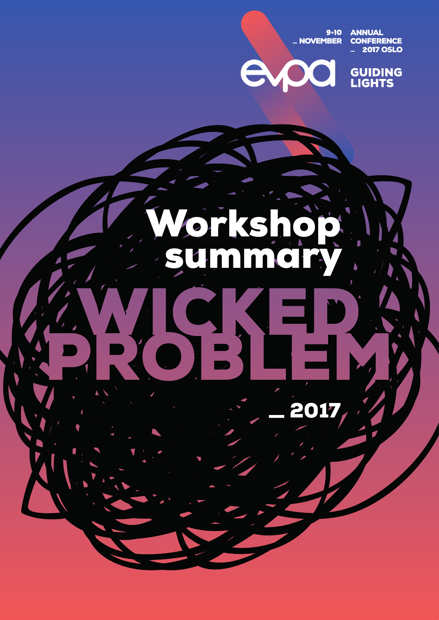9-10<br>NOVEMBER \_

A

**ANNUAL<br>CONFERENCE<br>\_2017 OSLO** 



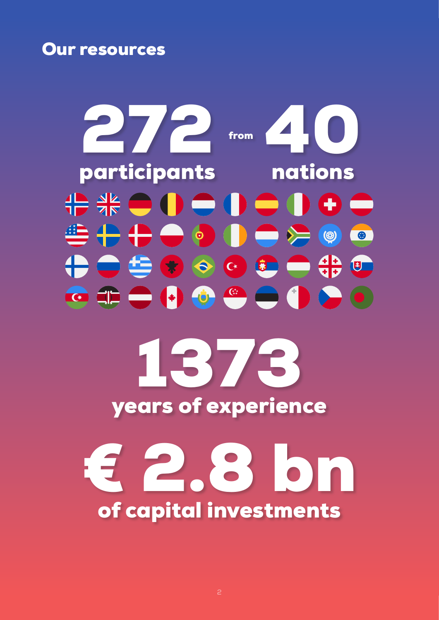Our resources

272 40 from participants nations <del>₽</del> ₩● 0● 0● 0●● 昔十十一 ● ● ● ● ●  $\begin{picture}(120,15)(-20,0) \put(0,0){\line(1,0){15}} \put(15,0){\line(1,0){15}} \put(15,0){\line(1,0){15}} \put(15,0){\line(1,0){15}} \put(15,0){\line(1,0){15}} \put(15,0){\line(1,0){15}} \put(15,0){\line(1,0){15}} \put(15,0){\line(1,0){15}} \put(15,0){\line(1,0){15}} \put(15,0){\line(1,0){15}} \put(15,0){\line(1,0){15}} \put(15$ 1373

years of experience

€ 2.8 bn of capital investments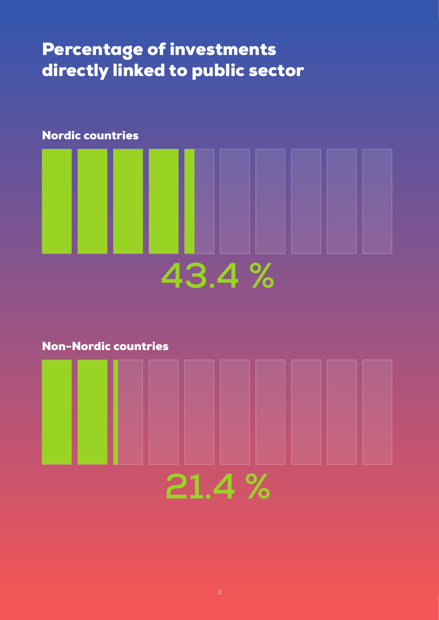## Percentage of investments directly linked to public sector



Non-Nordic countries

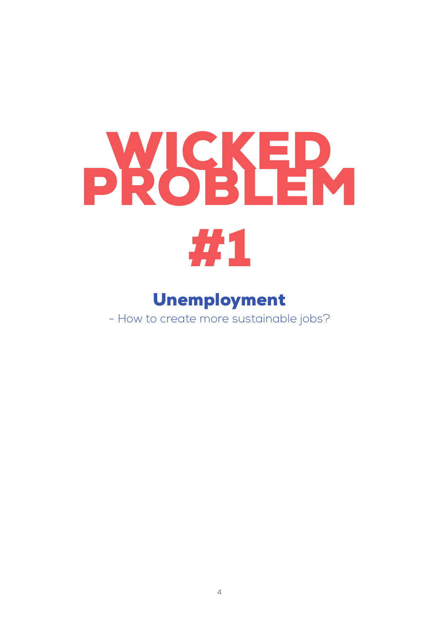## PROSER, #1

## Unemployment

- How to create more sustainable jobs?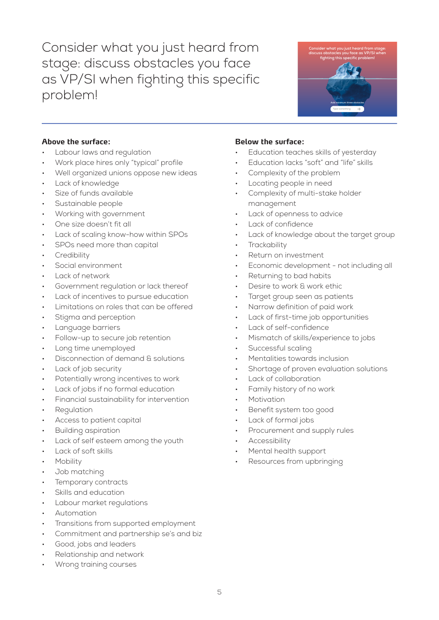Consider what you just heard from stage: discuss obstacles you face as VP/SI when fighting this specific problem!



### **Above the surface:**

- Labour laws and regulation
- Work place hires only "typical" profile
- Well organized unions oppose new ideas
- Lack of knowledge
- Size of funds available
- Sustainable people
- Working with government
- One size doesn't fit all
- Lack of scaling know-how within SPOs
- SPOs need more than capital
- **Credibility**
- Social environment
- Lack of network
- Government regulation or lack thereof
- Lack of incentives to pursue education
- Limitations on roles that can be offered
- Stigma and perception
- Language barriers
- Follow-up to secure job retention
- Long time unemployed
- Disconnection of demand & solutions
- Lack of job security
- Potentially wrong incentives to work
- Lack of jobs if no formal education
- Financial sustainability for intervention
- **Regulation**
- Access to patient capital
- Building aspiration
- Lack of self esteem among the youth
- Lack of soft skills
- **Mobility**
- Job matching
- Temporary contracts
- Skills and education
- Labour market regulations
- Automation
- Transitions from supported employment
- Commitment and partnership se's and biz
- Good, jobs and leaders
- Relationship and network
- Wrong training courses

- Education teaches skills of yesterday
- Education lacks "soft" and "life" skills
- Complexity of the problem
- Locating people in need
- Complexity of multi-stake holder management
- Lack of openness to advice
- Lack of confidence
- Lack of knowledge about the target group
- **Trackability**
- Return on investment
- Economic development not including all
- Returning to bad habits
- Desire to work & work ethic
- Target group seen as patients
- Narrow definition of paid work
- Lack of first-time job opportunities
- Lack of self-confidence
- Mismatch of skills/experience to jobs
- Successful scaling
- Mentalities towards inclusion
- Shortage of proven evaluation solutions
- Lack of collaboration
- Family history of no work
- **Motivation**
- Benefit system too good
- Lack of formal jobs
- Procurement and supply rules
- **Accessibility**
- Mental health support
- Resources from upbringing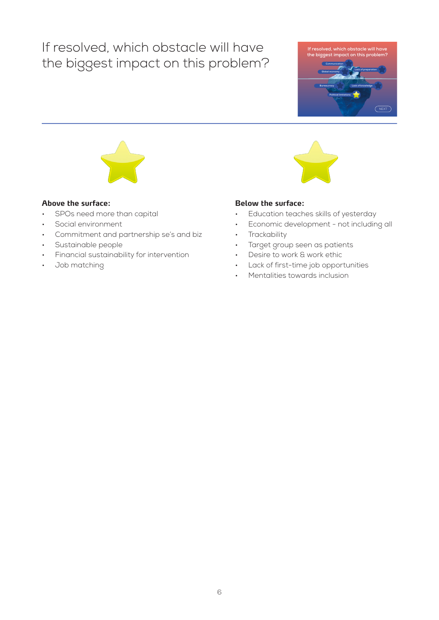## If resolved, which obstacle will have the biggest impact on this problem?





#### **Above the surface:**

- SPOs need more than capital
- Social environment
- Commitment and partnership se's and biz
- Sustainable people
- Financial sustainability for intervention
- Job matching

- Education teaches skills of yesterday
- Economic development not including all
- **Trackability**
- Target group seen as patients
- Desire to work & work ethic
- Lack of first-time job opportunities
- Mentalities towards inclusion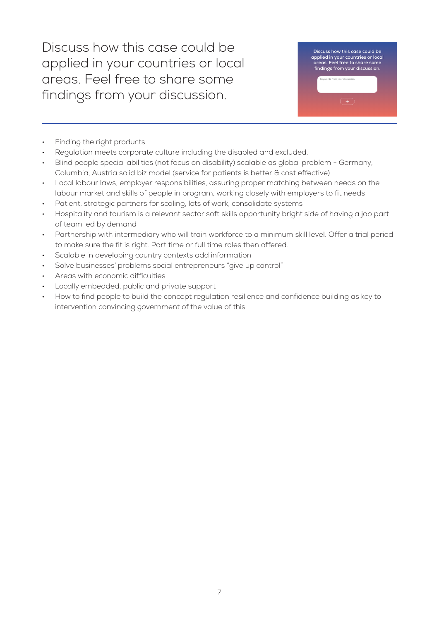Discuss how this case could be applied in your countries or local areas. Feel free to share some findings from your discussion.

**Discuss how this case could be applied in your countries or local areas. Feel free to share some findings from your discussion. Keywords from your discussion**

- Finding the right products
- Regulation meets corporate culture including the disabled and excluded.
- Blind people special abilities (not focus on disability) scalable as global problem Germany, Columbia, Austria solid biz model (service for patients is better & cost effective)
- Local labour laws, employer responsibilities, assuring proper matching between needs on the labour market and skills of people in program, working closely with employers to fit needs
- Patient, strategic partners for scaling, lots of work, consolidate systems
- Hospitality and tourism is a relevant sector soft skills opportunity bright side of having a job part of team led by demand
- Partnership with intermediary who will train workforce to a minimum skill level. Offer a trial period to make sure the fit is right. Part time or full time roles then offered.
- Scalable in developing country contexts add information
- Solve businesses' problems social entrepreneurs "give up control"
- Areas with economic difficulties
- Locally embedded, public and private support
- How to find people to build the concept regulation resilience and confidence building as key to intervention convincing government of the value of this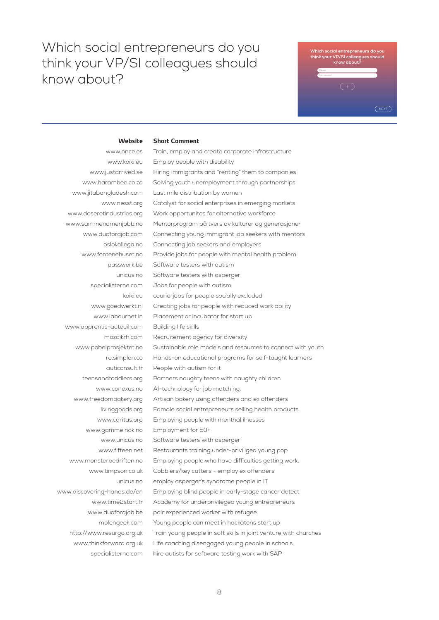**Short Comment**

## **Which social entrepreneurs do you think your VP/SI colleagues should know about? Website Short comment:**

#### **Website**

www.once.es www.koiki.eu www.justarrived.se www.harambee.co.za www.jitabangladesh.com www.nesst.org www.deseretindustries.org www.sammenomenjobb.no www.duoforajob.com oslokollega.no www.fontenehuset.no passwerk.be unicus.no specialisterne.com koiki.eu www.goedwerkt.nl www.labournet.in www.apprentis-auteuil.com mozaikrh.com www.pobelprosjektet.no ro.simplon.co auticonsult.fr teensandtoddlers.org www.conexus.no www.freedombakery.org livinggoods.org www.caritas.org www.gammelnok.no www.unicus.no www.fifteen.net www.monsterbedriften.no www.timpson.co.uk unicus.no www.discovering-hands.de/en www.time2start.fr www.duoforajob.be molengeek.com http://www.resurgo.org.uk www.thinkforward.org.uk specialisterne.com Train, employ and create corporate infrastructure Employ people with disability Hiring immigrants and "renting" them to companies Solving youth unemployment through partnerships Last mile distribution by women Catalyst for social enterprises in emerging markets Work opportunites for alternative workforce Mentorprogram på tvers av kulturer og generasjoner Connecting young immigrant job seekers with mentors Connecting job seekers and employers Provide jobs for people with mental health problem Software testers with autism Software testers with asperger Jobs for people with autism courierjobs for people socially excluded Creating jobs for people with reduced work ability Placement or incubator for start up Building life skills Recruitement agency for diversity Sustainable role models and resources to connect with youth Hands-on educational programs for self-taught learners People with autism for it Partners naughty teens with naughty children AI-technology for job matching. Artisan bakery using offenders and ex offenders Famale social entrepreneurs selling health products Employing people with menthal ilnesses Employment for 50+ Software testers with asperger Restaurants training under-priviliged young pop Employing people who have difficulties getting work. Cobblers/key cutters - employ ex offenders employ asperger's syndrome people in IT Employing blind people in early-stage cancer detect Academy for underprivileged young entrepreneurs pair experienced worker with refugee Young people can meet in hackatons start up Train young people in soft skills in joint venture with churches Life coaching disengaged young people in schools hire autists for software testing work with SAP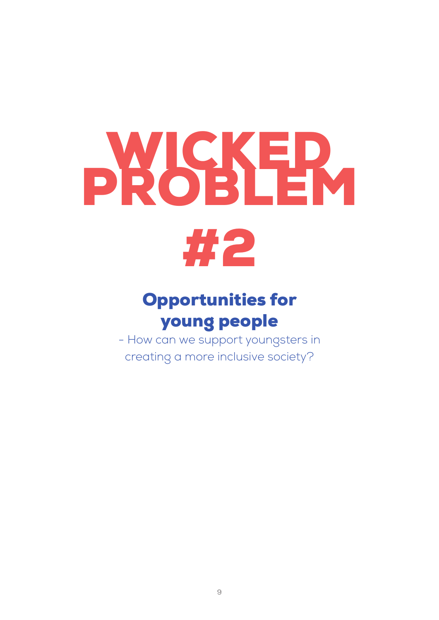# PROSHEM



## Opportunities for young people

- How can we support youngsters in creating a more inclusive society?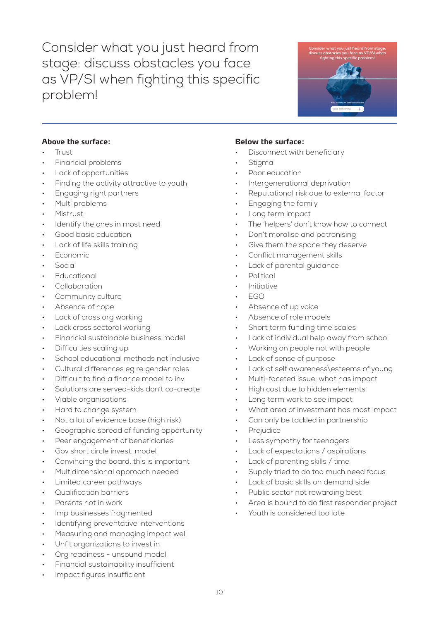Consider what you just heard from stage: discuss obstacles you face as VP/SI when fighting this specific problem!



### **Above the surface:**

- Trust
- Financial problems
- Lack of opportunities
- Finding the activity attractive to youth
- Engaging right partners
- Multi problems
- Mistrust
- Identify the ones in most need
- Good basic education
- Lack of life skills training
- **Economic**
- **Social**
- **Educational**
- **Collaboration**
- Community culture
- Absence of hope
- Lack of cross org working
- Lack cross sectoral working
- Financial sustainable business model
- Difficulties scaling up
- School educational methods not inclusive
- Cultural differences eg re gender roles
- Difficult to find a finance model to inv
- Solutions are served-kids don't co-create
- Viable organisations
- Hard to change system
- Not a lot of evidence base (high risk)
- Geographic spread of funding opportunity
- Peer engagement of beneficiaries
- Gov short circle invest. model
- Convincing the board, this is important
- Multidimensional approach needed
- Limited career pathways
- Qualification barriers
- Parents not in work
- Imp businesses fragmented
- Identifying preventative interventions
- Measuring and managing impact well
- Unfit organizations to invest in
- Org readiness unsound model
- Financial sustainability insufficient
- Impact figures insufficient

- Disconnect with beneficiary
- **Stigma**
- Poor education
- Intergenerational deprivation
- Reputational risk due to external factor
- Engaging the family
- Long term impact
- The 'helpers' don't know how to connect
- Don't moralise and patronising
- Give them the space they deserve
- Conflict management skills
- Lack of parental guidance
- Political
- **Initiative**
- EGO
- Absence of up voice
- Absence of role models
- Short term funding time scales
- Lack of individual help away from school
- Working on people not with people
- Lack of sense of purpose
- Lack of self awareness\esteems of young
- Multi-faceted issue: what has impact
- High cost due to hidden elements
- Long term work to see impact
- What area of investment has most impact
- Can only be tackled in partnership
- **Prejudice**
- Less sympathy for teenagers
- Lack of expectations / aspirations
- Lack of parenting skills / time
- Supply tried to do too much need focus
- Lack of basic skills on demand side
- Public sector not rewarding best
- Area is bound to do first responder project
- Youth is considered too late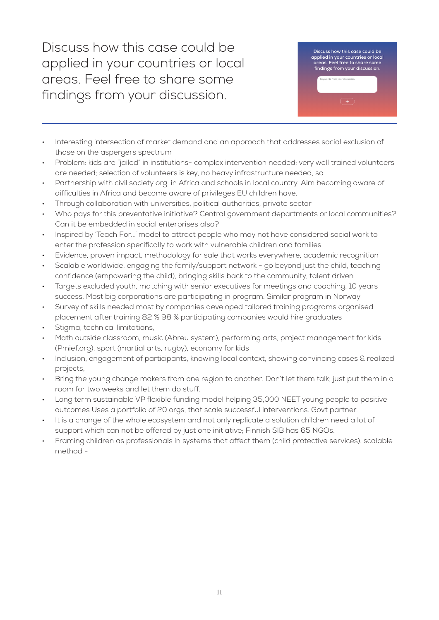Discuss how this case could be applied in your countries or local areas. Feel free to share some findings from your discussion.



- Interesting intersection of market demand and an approach that addresses social exclusion of those on the aspergers spectrum
- Problem: kids are "jailed" in institutions- complex intervention needed; very well trained volunteers are needed; selection of volunteers is key, no heavy infrastructure needed, so
- Partnership with civil society org. in Africa and schools in local country. Aim becoming aware of difficulties in Africa and become aware of privileges EU children have.
- Through collaboration with universities, political authorities, private sector
- Who pays for this preventative initiative? Central government departments or local communities? Can it be embedded in social enterprises also?
- Inspired by 'Teach For...' model to attract people who may not have considered social work to enter the profession specifically to work with vulnerable children and families.
- Evidence, proven impact, methodology for sale that works everywhere, academic recognition
- Scalable worldwide, engaging the family/support network go beyond just the child, teaching confidence (empowering the child), bringing skills back to the community, talent driven
- Targets excluded youth, matching with senior executives for meetings and coaching, 10 years success. Most big corporations are participating in program. Similar program in Norway
- Survey of skills needed most by companies developed tailored training programs organised placement after training 82 % 98 % participating companies would hire graduates
- Stigma, technical limitations,
- Math outside classroom, music (Abreu system), performing arts, project management for kids (Pmief.org), sport (martial arts, rugby), economy for kids
- Inclusion, engagement of participants, knowing local context, showing convincing cases & realized projects,
- Bring the young change makers from one region to another. Don't let them talk; just put them in a room for two weeks and let them do stuff.
- Long term sustainable VP flexible funding model helping 35,000 NEET young people to positive outcomes Uses a portfolio of 20 orgs, that scale successful interventions. Govt partner.
- It is a change of the whole ecosystem and not only replicate a solution children need a lot of support which can not be offered by just one initiative; Finnish SIB has 65 NGOs.
- Framing children as professionals in systems that affect them (child protective services). scalable method -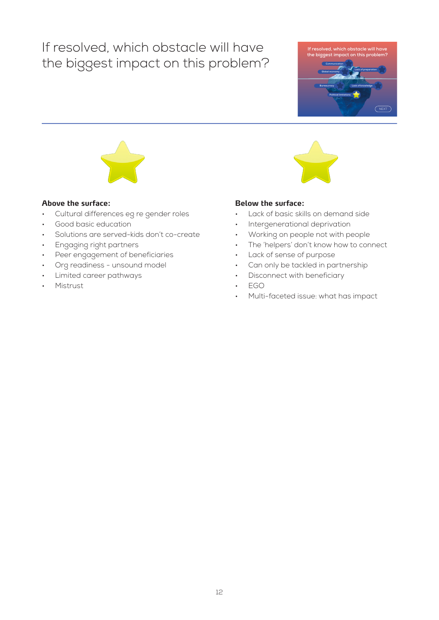## If resolved, which obstacle will have the biggest impact on this problem?





#### **Above the surface:**

- Cultural differences eg re gender roles
- Good basic education
- Solutions are served-kids don't co-create
- Engaging right partners
- Peer engagement of beneficiaries
- Org readiness unsound model
- Limited career pathways
- Mistrust



- Lack of basic skills on demand side
- Intergenerational deprivation
- Working on people not with people
- The 'helpers' don't know how to connect
- Lack of sense of purpose
- Can only be tackled in partnership
- Disconnect with beneficiary
- EGO
- Multi-faceted issue: what has impact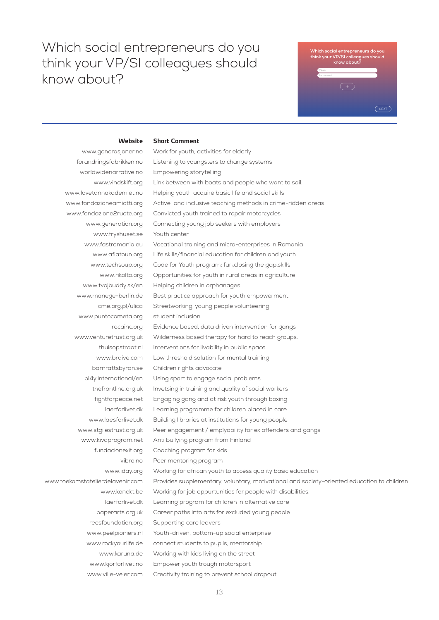**Short Comment**

## **Which social entrepreneurs do you think your VP/SI colleagues should know about? Website Short comment:**

#### **Website**

www.generasjoner.no forandringsfabrikken.no worldwidenarrative.no www.vindskift.org www.lovetannakademiet.no www.fondazioneamiotti.org www.fondazione2ruote.org www.generation.org www.fryshuset.se www.fastromania.eu www.aflatoun.org www.techsoup.org www.rikolto.org www.tvojbuddy.sk/en www.manege-berlin.de cme.org.pl/ulica www.puntocometa.org rocainc.org www.venturetrust.org.uk thuisopstraat.nl www.braive.com barnrattsbyran.se pl4y.international/en thefrontline.org.uk fightforpeace.net laerforlivet.dk www.laesforlivet.dk www.stgilestrust.org.uk www.kivaprogram.net fundacionexit.org vibro.no www.iday.org www.toekomstatelierdelavenir.com www.konekt.be laerforlivet.dk paperarts.org.uk reesfoundation.org www.peelpioniers.nl www.rockyourlife.de www.karuna.de www.kjorforlivet.no www.ville-veier.com Work for youth, activities for elderly Listening to youngsters to change systems Empowering storytelling Link between with boats and people who want to sail. Helping youth acquire basic life and social skills Active and inclusive teaching methods in crime-ridden areas Convicted youth trained to repair motorcycles Connecting young job seekers with employers Youth center Vocational training and micro-enterprises in Romania Life skills/financial education for children and youth Code for Youth program: fun,closing the gap,skills Opportunities for youth in rural areas in agriculture Helping children in orphanages Best practice approach for youth empowerment Streetworking, young people volunteering student inclusion Evidence based, data driven intervention for gangs Wilderness based therapy for hard to reach groups. Interventions for livability in public space Low threshold solution for mental training Children rights advocate Using sport to engage social problems Invetsing in training and quality of social workers Engaging gang and at risk youth through boxing Learning programme for children placed in care Building libraries at institutions for young people Peer engagement / emplyability for ex offenders and gangs Anti bullying program from Finland Coaching program for kids Peer mentoring program Working for african youth to access quality basic education Provides supplementary, voluntary, motivational and society-oriented education to children Working for job oppurtunities for people with disabilities. Learning program for children in alternative care Career paths into arts for excluded young people Supporting care leavers Youth-driven, bottom-up social enterprise connect students to pupils, mentorship Working with kids living on the street Empower youth trough motorsport Creativity training to prevent school dropout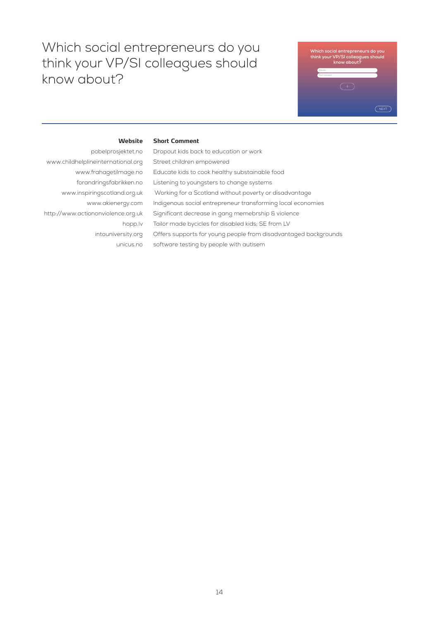**Short Comment**



#### **Website**

pobelprosjektet.no www.childhelplineinternational.org www.frahagetilmage.no forandringsfabrikken.no www.inspiringscotland.org.uk www.akienergy.com http://www.actiononviolence.org.uk hopp.lv intouniversity.org unicus.no

Dropout kids back to education or work Street children empowered Educate kids to cook healthy substainable food Listening to youngsters to change systems Working for a Scotland without poverty or disadvantage Indigenous social entrepreneur transforming local economies Significant decrease in gang memebrship & violence Tailor made bycicles for disabled kids; SE from LV Offers supports for young people from disadvantaged backgrounds software testing by people with autisem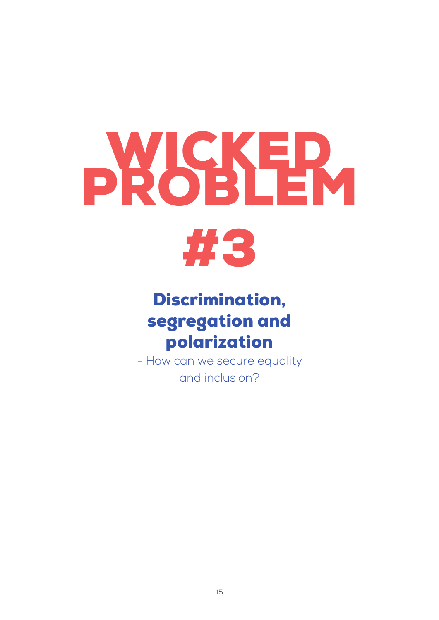# **PROSER**



## Discrimination, segregation and polarization

- How can we secure equality and inclusion?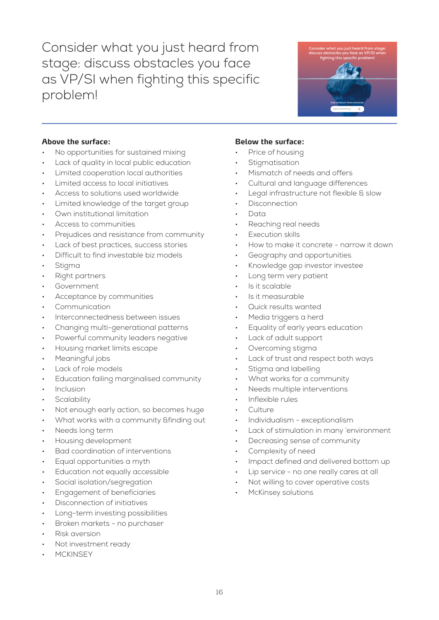Consider what you just heard from stage: discuss obstacles you face as VP/SI when fighting this specific problem!



### **Above the surface:**

- No opportunities for sustained mixing
- Lack of quality in local public education
- Limited cooperation local authorities
- Limited access to local initiatives
- Access to solutions used worldwide
- Limited knowledge of the target group
- Own institutional limitation
- Access to communities
- Prejudices and resistance from community
- Lack of best practices, success stories
- Difficult to find investable biz models
- **Stigma**
- Right partners
- **Government**
- Acceptance by communities
- Communication
- Interconnectedness between issues
- Changing multi-generational patterns
- Powerful community leaders negative
- Housing market limits escape
- Meaningful jobs
- Lack of role models
- Education failing marginalised community
- **Inclusion**
- **Scalability**
- Not enough early action, so becomes huge
- What works with a community &finding out
- Needs long term
- Housing development
- Bad coordination of interventions
- Equal opportunities a myth
- Education not equally accessible
- Social isolation/segregation
- Engagement of beneficiaries
- Disconnection of initiatives
- Long-term investing possibilities
- Broken markets no purchaser
- Risk aversion
- Not investment ready
- **MCKINSEY**

- Price of housing
- **Stigmatisation**
- Mismatch of needs and offers
- Cultural and language differences
- Legal infrastructure not flexible & slow
- **Disconnection**
- Data
- Reaching real needs
- **Execution skills**
- How to make it concrete narrow it down
- Geography and opportunities
- Knowledge gap investor investee
- Long term very patient
- Is it scalable
- Is it measurable
- Quick results wanted
- Media triggers a herd
- Equality of early years education
- Lack of adult support
- Overcoming stigma
- Lack of trust and respect both ways
- Stigma and labelling
- What works for a community
- Needs multiple interventions
- Inflexible rules
- Culture
- Individualism exceptionalism
- Lack of stimulation in many 'environment
- Decreasing sense of community
- Complexity of need
- Impact defined and delivered bottom up
- Lip service no one really cares at all
- Not willing to cover operative costs
- McKinsey solutions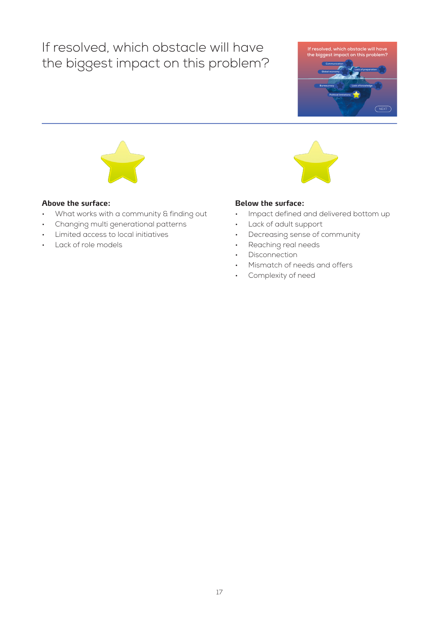## If resolved, which obstacle will have the biggest impact on this problem?





#### **Above the surface:**

- What works with a community & finding out
- Changing multi generational patterns
- Limited access to local initiatives
- Lack of role models

- Impact defined and delivered bottom up
- Lack of adult support
- Decreasing sense of community
- Reaching real needs
- Disconnection
- Mismatch of needs and offers
- Complexity of need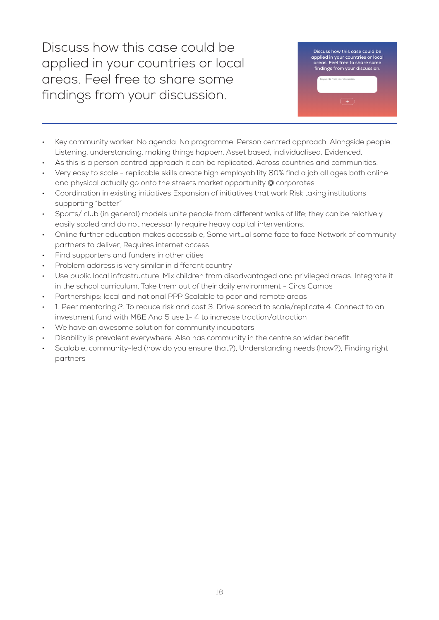Discuss how this case could be applied in your countries or local areas. Feel free to share some findings from your discussion.



- Key community worker. No agenda. No programme. Person centred approach. Alongside people. Listening, understanding, making things happen. Asset based, individualised. Evidenced.
- As this is a person centred approach it can be replicated. Across countries and communities.
- Very easy to scale replicable skills create high employability 80% find a job all ages both online and physical actually go onto the streets market opportunity @ corporates
- Coordination in existing initiatives Expansion of initiatives that work Risk taking institutions supporting "better"
- Sports/ club (in general) models unite people from different walks of life; they can be relatively easily scaled and do not necessarily require heavy capital interventions.
- Online further education makes accessible, Some virtual some face to face Network of community partners to deliver, Requires internet access
- Find supporters and funders in other cities
- Problem address is very similar in different country
- Use public local infrastructure. Mix children from disadvantaged and privileged areas. Integrate it in the school curriculum. Take them out of their daily environment - Circs Camps
- Partnerships: local and national PPP Scalable to poor and remote areas
- 1. Peer mentoring 2. To reduce risk and cost 3. Drive spread to scale/replicate 4. Connect to an investment fund with M&E And 5 use 1- 4 to increase traction/attraction
- We have an awesome solution for community incubators
- Disability is prevalent everywhere. Also has community in the centre so wider benefit
- Scalable, community-led (how do you ensure that?), Understanding needs (how?), Finding right partners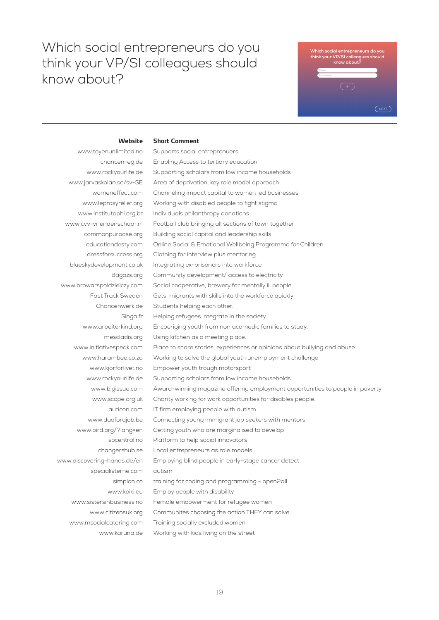**Short Comment**

## **Which social entrepreneurs do you think your VP/SI colleagues should know about? Website Short comment:**

#### **Website**

www.toyenunlimited.no chancen-eg.de www.rockyourlife.de www.jarvaskolan.se/sv-SE womeneffect.com www.leprosyrelief.org www.institutophi.org.br www.cvv-vriendenschaar.nl commonpurpose.org educationdesty.com dressforsuccess.org blueskydevelopment.co.uk Bagazs.org www.browarspoldzielczy.com Fast Track Sweden Chancenwerk.de Singa.fr www.arbeiterkind.org mescladis.org www.initiativespeak.com www.harambee.co.za www.kjorforlivet.no www.rockyourlife.de www.bigissue.com www.scope.org.uk auticon.com www.duoforajob.be www.oird.org/?lang=en socentral.no changershub.se www.discovering-hands.de/en specialisterne.com simplon.co www.koiki.eu www.sistersinbusiness.no www.citizensuk.org www.msocialcatering.com www.karuna.de Supports social entreprenuers Enabling Access to tertiary education Supporting scholars from low income households Area of deprivation, key role model approach Channeling impact capital to women led businesses Working with disabled people to fight stigma Individuals philanthropy donations Football club bringing all sections of town together Building social capital and leadership skills Online Social & Emotional Wellbeing Programme for Children Clothing for interview plus mentoring Integrating ex-prisoners into workforce Community development/ access to electricity Social cooperative, brewery for mentally ill people Gets migrants with skills into the workforce quickly Students helping each other. Helping refugees integrate in the society Encouriging youth from non acamedic families to study. Using kitchen as a meeting place. Place to share stories, experiences or opinions about bullying and abuse Working to solve the global youth unemployment challenge Empower youth trough motorsport Supporting scholars from low income households Award-winning magazine offering employment opportunities to people in poverty Charity working for work opportunities for disables people. IT firm employing people with autism Connecting young immigrant job seekers with mentors Getting youth who are marginalised to develop Platform to help social innovators Local entrepreneurs as role models Employing blind people in early-stage cancer detect autism training for coding and programming - open2all Employ people with disability Female emoowerment for refugee women Communites choosing the action THEY can solve Training socially excluded women Working with kids living on the street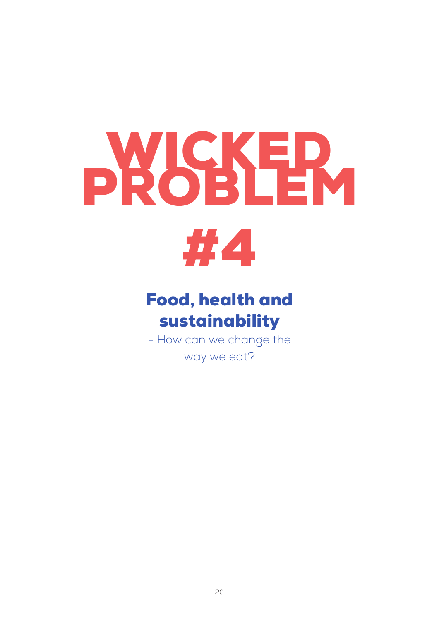## DR. SS. ER



## Food, health and sustainability

- How can we change the way we eat?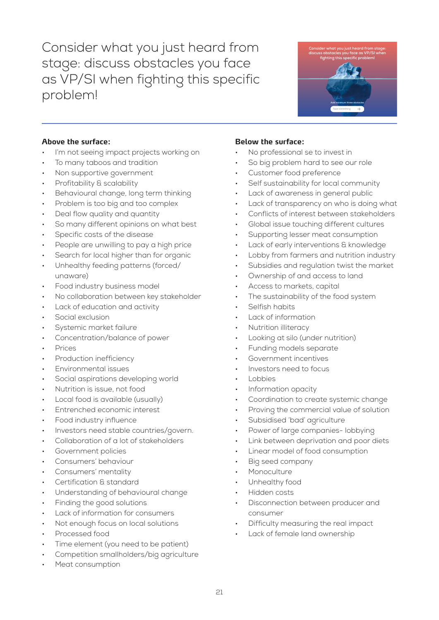Consider what you just heard from stage: discuss obstacles you face as VP/SI when fighting this specific problem!



#### **Above the surface:**

- I'm not seeing impact projects working on
- To many taboos and tradition
- Non supportive government
- Profitability & scalability
- Behavioural change, long term thinking
- Problem is too big and too complex
- Deal flow quality and quantity
- So many different opinions on what best
- Specific costs of the disease
- People are unwilling to pay a high price
- Search for local higher than for organic
- Unhealthy feeding patterns (forced/ unaware)
- Food industry business model
- No collaboration between key stakeholder
- Lack of education and activity
- Social exclusion
- Systemic market failure
- Concentration/balance of power
- Prices
- Production inefficiency
- Environmental issues
- Social aspirations developing world
- Nutrition is issue, not food
- Local food is available (usually)
- Entrenched economic interest
- Food industry influence
- Investors need stable countries/govern.
- Collaboration of a lot of stakeholders
- Government policies
- Consumers' behaviour
- Consumers' mentality
- Certification & standard
- Understanding of behavioural change
- Finding the good solutions
- Lack of information for consumers
- Not enough focus on local solutions
- Processed food
- Time element (you need to be patient)
- Competition smallholders/big agriculture
- Meat consumption

- No professional se to invest in
- So big problem hard to see our role
- Customer food preference
- Self sustainability for local community
- Lack of awareness in general public
- Lack of transparency on who is doing what
- Conflicts of interest between stakeholders
- Global issue touching different cultures
- Supporting lesser meat consumption
- Lack of early interventions & knowledge
- Lobby from farmers and nutrition industry
- Subsidies and regulation twist the market
- Ownership of and access to land
- Access to markets, capital
- The sustainability of the food system
- Selfish habits
- Lack of information
- Nutrition illiteracy
- Looking at silo (under nutrition)
- Funding models separate
- Government incentives
- Investors need to focus
- **Lobbies**
- Information opacity
- Coordination to create systemic change
- Proving the commercial value of solution
- Subsidised 'bad' agriculture
- Power of large companies- lobbying
- Link between deprivation and poor diets
- Linear model of food consumption
- Big seed company
- **Monoculture**
- Unhealthy food
- Hidden costs
- Disconnection between producer and consumer
- Difficulty measuring the real impact
- Lack of female land ownership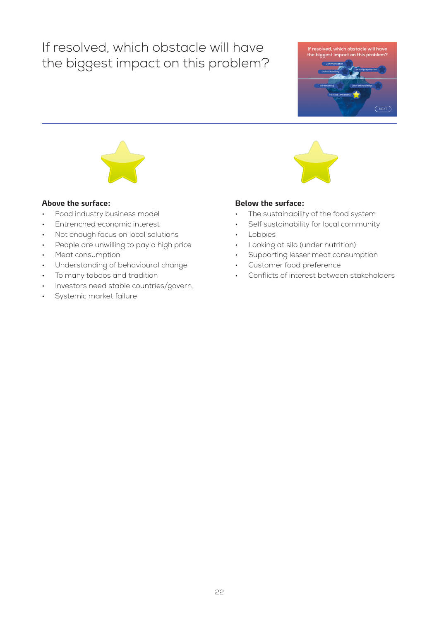## If resolved, which obstacle will have the biggest impact on this problem?





#### **Above the surface:**

- Food industry business model
- Entrenched economic interest
- Not enough focus on local solutions
- People are unwilling to pay a high price
- Meat consumption
- Understanding of behavioural change
- To many taboos and tradition
- Investors need stable countries/govern.
- Systemic market failure

- The sustainability of the food system
- Self sustainability for local community
- **Lobbies**
- Looking at silo (under nutrition)
- Supporting lesser meat consumption
- Customer food preference
- Conflicts of interest between stakeholders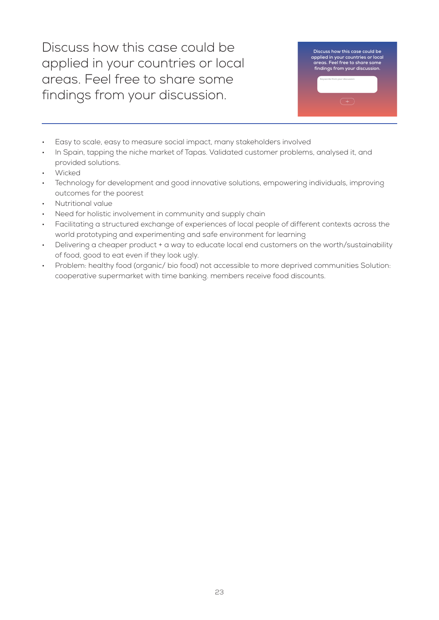Discuss how this case could be applied in your countries or local areas. Feel free to share some findings from your discussion.



- Easy to scale, easy to measure social impact, many stakeholders involved
- In Spain, tapping the niche market of Tapas. Validated customer problems, analysed it, and provided solutions.
- Wicked
- Technology for development and good innovative solutions, empowering individuals, improving outcomes for the poorest
- Nutritional value
- Need for holistic involvement in community and supply chain
- Facilitating a structured exchange of experiences of local people of different contexts across the world prototyping and experimenting and safe environment for learning
- Delivering a cheaper product + a way to educate local end customers on the worth/sustainability of food, good to eat even if they look ugly.
- Problem: healthy food (organic/ bio food) not accessible to more deprived communities Solution: cooperative supermarket with time banking. members receive food discounts.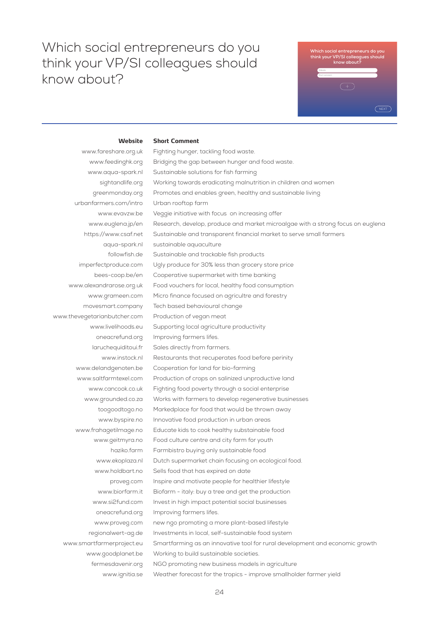**Short Comment**

## **Which social entrepreneurs do you think your VP/SI colleagues should know about? Website Short comment:**

#### **Website**

www.fareshare.org.uk www.feedinghk.org www.aqua-spark.nl sightandlife.org greenmonday.org urbanfarmers.com/intro www.evavzw.be www.euglena.jp/en https://www.csaf.net aqua-spark.nl followfish.de imperfectproduce.com bees-coop.be/en www.alexandrarose.org.uk www.grameen.com movesmart.company www.thevegetarianbutcher.com www.livelihoods.eu oneacrefund.org laruchequiditoui.fr www.instock.nl www.delandgenoten.be www.saltfarmtexel.com www.cancook.co.uk www.grounded.co.za toogoodtogo.no www.byspire.no www.frahagetilmage.no www.geitmyra.no haziko.farm www.ekoplaza.nl www.holdbart.no proveg.com www.biorfarm.it www.si2fund.com oneacrefund.org www.proveg.com regionalwert-ag.de www.smartfarmerproject.eu www.goodplanet.be fermesdavenir.org www.ignitia.se Fighting hunger, tackling food waste. Bridging the gap between hunger and food waste. Sustainable solutions for fish farming Working towards eradicating malnutrition in children and women Promotes and enables green, healthy and sustainable living Urban rooftop farm Veggie initiative with focus on increasing offer Research, develop, produce and market microalgae with a strong focus on euglena Sustainable and transparent financial market to serve small farmers sustainable aquaculture Sustainable and trackable fish products Ugly produce for 30% less than grocery store price Cooperative supermarket with time banking Food vouchers for local, healthy food consumption Micro finance focused on agricultre and forestry Tech based behavioural change Production of vegan meat Supporting local agriculture productivity Improving farmers lifes. Sales directly from farmers. Restaurants that recuperates food before perinity Cooperation for land for bio-farming Production of crops on salinized unproductive land Fighting food poverty through a social enterprise Works with farmers to develop regenerative businesses Markedplace for food that would be thrown away Innovative food production in urban areas Educate kids to cook healthy substainable food Food culture centre and city farm for youth Farmbistro buying only sustainable food Dutch supermarket chain focusing on ecological food. Sells food that has expired on date Inspire and motivate people for healthier lifestyle Biofarm - italy: buy a tree and get the production Invest in high impact potential social businesses Improving farmers lifes. new ngo promoting a more plant-based lifestyle Investments in local, self-sustainable food system Smartfarming as an innovative tool for rural development and economic growth Working to build sustainable societies. NGO promoting new business models in agriculture Weather forecast for the tropics - improve smallholder farmer yield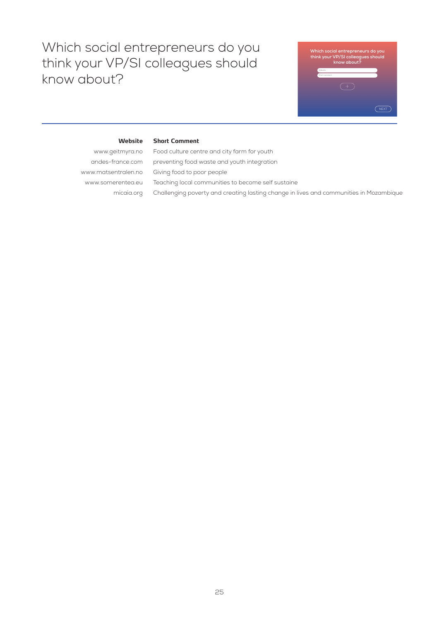

#### **Website**

**Short Comment**

www.geitmyra.no andes-france.com www.matsentralen.no www.somerentea.eu micaia.org Food culture centre and city farm for youth preventing food waste and youth integration Giving food to poor people Teaching local communities to become self sustaine Challenging poverty and creating lasting change in lives and communities in Mozambique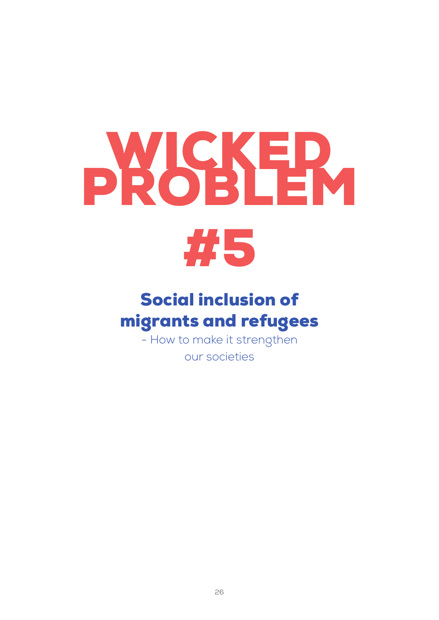# **PROSER**



## Social inclusion of migrants and refugees

- How to make it strengthen

our societies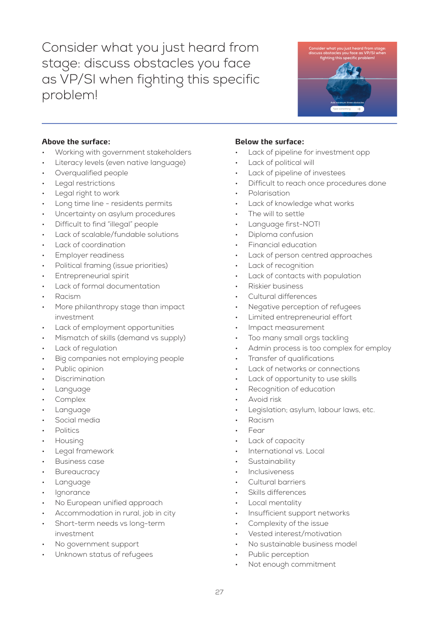Consider what you just heard from stage: discuss obstacles you face as VP/SI when fighting this specific problem!



#### **Above the surface:**

- Working with government stakeholders
- Literacy levels (even native language)
- Overqualified people
- Legal restrictions
- Legal right to work
- Long time line residents permits
- Uncertainty on asylum procedures
- Difficult to find "illegal" people
- Lack of scalable/fundable solutions
- Lack of coordination
- Employer readiness
- Political framing (issue priorities)
- Entrepreneurial spirit
- Lack of formal documentation
- Racism
- More philanthropy stage than impact investment
- Lack of employment opportunities
- Mismatch of skills (demand vs supply)
- Lack of regulation
- Big companies not employing people
- Public opinion
- **Discrimination**
- **Language**
- Complex
- **Language**
- Social media
- **Politics**
- Housing
- Legal framework
- Business case
- **Bureaucracy**
- **Language**
- **Ignorance**
- No European unified approach
- Accommodation in rural, job in city
- Short-term needs vs long-term investment
- No government support
- Unknown status of refugees

- Lack of pipeline for investment opp
- Lack of political will
- Lack of pipeline of investees
- Difficult to reach once procedures done
- **Polarisation**
- Lack of knowledge what works
- The will to settle
- Language first-NOT!
- Diploma confusion
- Financial education
- Lack of person centred approaches
- Lack of recognition
- Lack of contacts with population
- Riskier business
- Cultural differences
- Negative perception of refugees
- Limited entrepreneurial effort
- Impact measurement
- Too many small orgs tackling
- Admin process is too complex for employ
- Transfer of qualifications
- Lack of networks or connections
- Lack of opportunity to use skills
- Recognition of education
- Avoid risk
- Legislation; asylum, labour laws, etc.
- Racism
- Fear
- Lack of capacity
- International vs. Local
- **Sustainability**
- **Inclusiveness**
- Cultural barriers
- Skills differences
- Local mentality
- Insufficient support networks
- Complexity of the issue
- Vested interest/motivation
- No sustainable business model
- Public perception
- Not enough commitment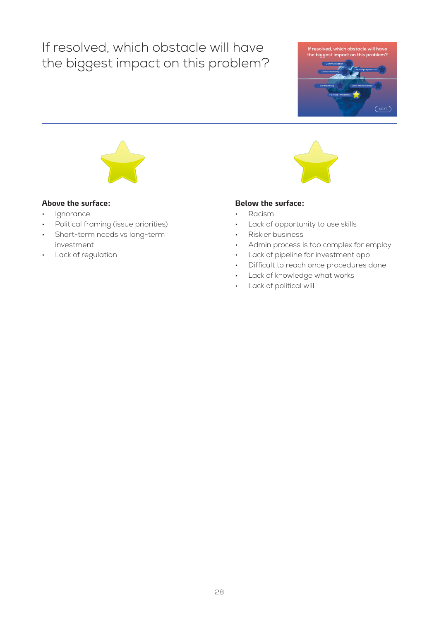## If resolved, which obstacle will have the biggest impact on this problem?





#### **Above the surface:**

- Ignorance
- Political framing (issue priorities)
- Short-term needs vs long-term investment
- Lack of regulation

- Racism
- Lack of opportunity to use skills
- Riskier business
- Admin process is too complex for employ
- Lack of pipeline for investment opp
- Difficult to reach once procedures done
- Lack of knowledge what works
- Lack of political will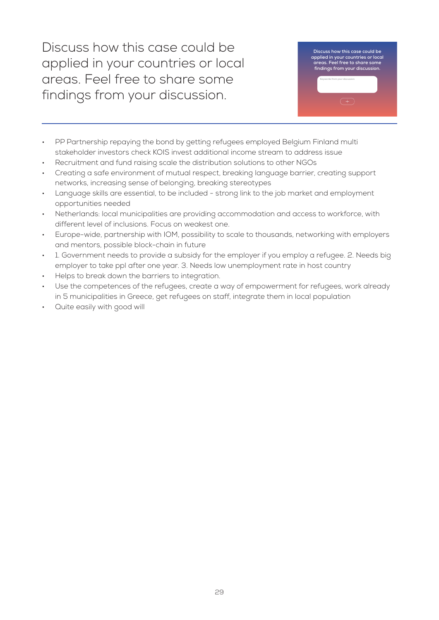Discuss how this case could be applied in your countries or local areas. Feel free to share some findings from your discussion.



- PP Partnership repaying the bond by getting refugees employed Belgium Finland multi stakeholder investors check KOIS invest additional income stream to address issue
- Recruitment and fund raising scale the distribution solutions to other NGOs
- Creating a safe environment of mutual respect, breaking language barrier, creating support networks, increasing sense of belonging, breaking stereotypes
- Language skills are essential, to be included strong link to the job market and employment opportunities needed
- Netherlands: local municipalities are providing accommodation and access to workforce, with different level of inclusions. Focus on weakest one.
- Europe-wide, partnership with IOM, possibility to scale to thousands, networking with employers and mentors, possible block-chain in future
- 1. Government needs to provide a subsidy for the employer if you employ a refugee. 2. Needs big employer to take ppl after one year. 3. Needs low unemployment rate in host country
- Helps to break down the barriers to integration.
- Use the competences of the refugees, create a way of empowerment for refugees, work already in 5 municipalities in Greece, get refugees on staff, integrate them in local population
- Quite easily with good will